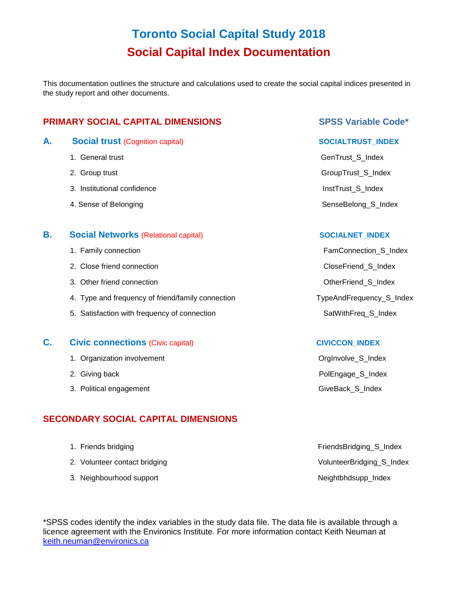# **Toronto Social Capital Study 2018 Social Capital Index Documentation**

This documentation outlines the structure and calculations used to create the social capital indices presented in the study report and other documents.

## **PRIMARY SOCIAL CAPITAL DIMENSIONS EXAMPLE 2008 SPSS Variable Code\***

- A. Social trust (Cognition capital) **A. Social trust** (Cognition capital)
	-
	-
	- 3. Institutional confidence **Institutional confidence Institutional confidence Institutional confidence**
	-

#### **B.** Social Networks (Relational capital) **SOCIALNET** INDEX

- 
- 2. Close friend connection **CloseFriend\_S\_Index**
- 3. Other friend connection **Other Friend\_S\_Index OtherFriend\_S\_Index**
- 4. Type and frequency of friend/family connection TypeAndFrequency\_S\_Index
- 5. Satisfaction with frequency of connection SatWithFreq\_S\_Index

#### **C.** Civic connections (Civic capital) **CIVICCON** INDEX

- 1. Organization involvement **Community** Community Community Community Community Community Community Community Community Community Community Community Community Community Community Community Community Community Community Co
- 
- 3. Political engagement GiveBack\_S\_Index

## **SECONDARY SOCIAL CAPITAL DIMENSIONS**

- 
- 2. Volunteer contact bridging VolunteerBridging Sandex
- 3. Neighbourhood support and the state of the state of the Neightbhdsupp Index

1. General trust General trust General trust General trust General trust General trust General trust General trust General trust General trust General trust General trust General trust General trust General trust General t 2. Group trust GroupTrust\_S\_Index 4. Sense of Belonging SenseBelong States and SenseBelong States SenseBelong States and SenseBelong States and SenseBelong States and SenseBelong States and SenseBelong States and SenseBelong States and SenseBelong States a

1. Family connection **FamConnection** FamConnection\_S\_Index

2. Giving back **Polengage\_S\_Index** 

1. Friends bridging FriendsBridging FriendsBridging Solution and The FriendsBridging Solution and The TriendsBridging Solution and The TriendsBridging Solution and The TriendsBridging Solution and The TriendsBridging Solut

\*SPSS codes identify the index variables in the study data file. The data file is available through a licence agreement with the Environics Institute. For more information contact Keith Neuman at [keith.neuman@environics.ca](mailto:keith.neuman@environics.ca)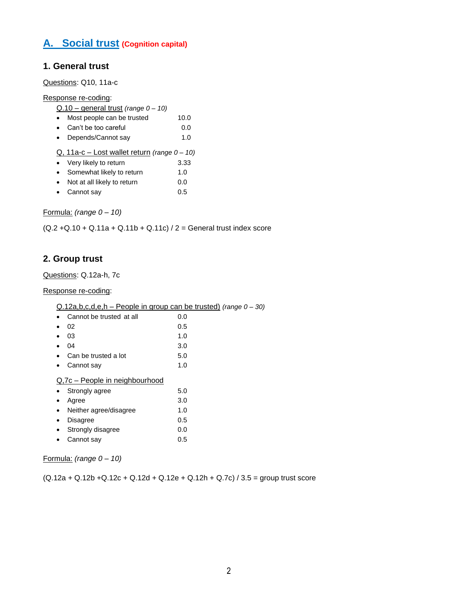## **A. Social trust (Cognition capital)**

### **1. General trust**

Questions: Q10, 11a-c

#### Response re-coding:

|           | Q.10 – general trust (range 0 – 10)                 |      |  |  |  |
|-----------|-----------------------------------------------------|------|--|--|--|
| $\bullet$ | Most people can be trusted                          | 10.0 |  |  |  |
| $\bullet$ | Can't be too careful                                | 0.0  |  |  |  |
| $\bullet$ | Depends/Cannot say                                  | 1.0  |  |  |  |
|           | Q, 11a-c – Lost wallet return <i>(range 0 – 10)</i> |      |  |  |  |
| $\bullet$ | Very likely to return                               | 3.33 |  |  |  |
| $\bullet$ | Somewhat likely to return                           | 1.0  |  |  |  |
| $\bullet$ | Not at all likely to return                         | 0.0  |  |  |  |
| $\bullet$ | Cannot say                                          | 0.5  |  |  |  |
|           |                                                     |      |  |  |  |

Formula: *(range 0 – 10)*

 $(Q.2 + Q.10 + Q.11a + Q.11b + Q.11c)/2 =$  General trust index score

## **2. Group trust**

Questions: Q.12a-h, 7c

#### Response re-coding:

| Cannot be trusted at all       | 0.0 |  |  |
|--------------------------------|-----|--|--|
| 02                             | 0.5 |  |  |
| 03                             | 1.0 |  |  |
| 04                             | 3.0 |  |  |
| Can be trusted a lot           | 5.0 |  |  |
| Cannot say                     | 1.0 |  |  |
| Q,7c – People in neighbourhood |     |  |  |
| Strongly agree                 | 5.0 |  |  |
| Agree                          | 3.0 |  |  |
| Neither agree/disagree         | 1.0 |  |  |
| Disagree                       | 0.5 |  |  |
| Strongly disagree              | 0.0 |  |  |
| Cannot say                     | 0.5 |  |  |
|                                |     |  |  |

Formula: *(range 0 – 10)*

 $(Q.12a + Q.12b + Q.12c + Q.12d + Q.12e + Q.12h + Q.7c) / 3.5 =$  group trust score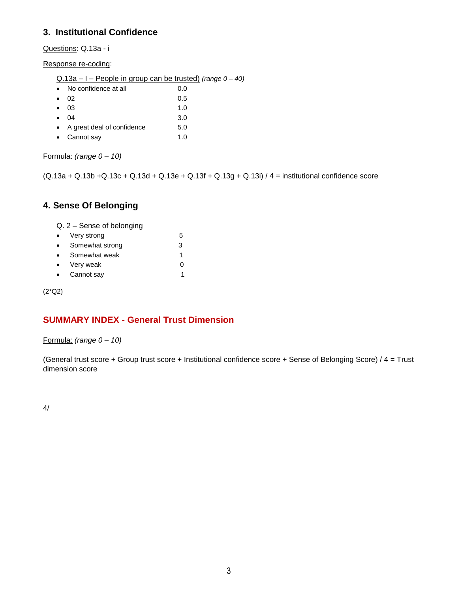## **3. Institutional Confidence**

Questions: Q.13a - i

Response re-coding:

| Q.13a - I - People in group can be trusted) (range 0 - 40) |  |  |
|------------------------------------------------------------|--|--|
|                                                            |  |  |

| • No confidence at all                                           | 0.0 |
|------------------------------------------------------------------|-----|
| $\bullet$ 02                                                     | 0.5 |
| $\bullet$ 03                                                     | 1.0 |
| $\bullet$ 04                                                     | 3.0 |
| المستحدث والمتلائك والمستعار والمستحدث والمستحدث<br>$\mathbf{A}$ | - ^ |

- A great deal of confidence 5.0
- Cannot say 1.0

Formula: *(range 0 – 10)*

 $(Q.13a + Q.13b + Q.13c + Q.13d + Q.13e + Q.13f + Q.13g + Q.13i) / 4 =$  institutional confidence score

## **4. Sense Of Belonging**

Q. 2 – Sense of belonging

| $\bullet$ | Very strong     | 5 |
|-----------|-----------------|---|
| $\bullet$ | Somewhat strong | 3 |
| $\bullet$ | Somewhat weak   |   |
| $\bullet$ | Very weak       |   |
| $\bullet$ | Cannot say      |   |

(2\*Q2)

## **SUMMARY INDEX - General Trust Dimension**

#### Formula: *(range 0 – 10)*

(General trust score + Group trust score + Institutional confidence score + Sense of Belonging Score) / 4 = Trust dimension score

4/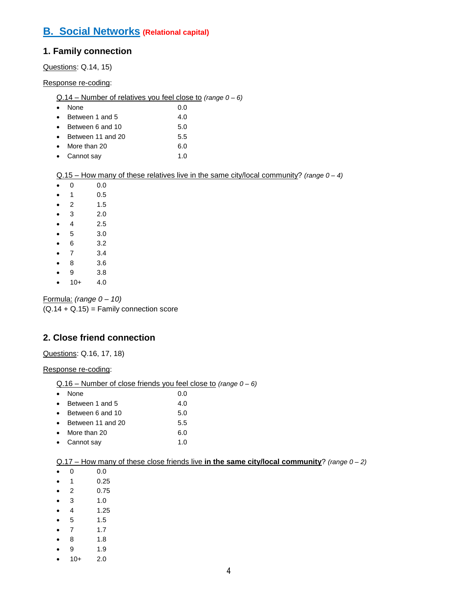## **B. Social Networks (Relational capital)**

## **1. Family connection**

Questions: Q.14, 15)

Response re-coding:

| • None | 0.0 |
|--------|-----|
|        |     |

- Between 1 and 5 4.0
- Between 6 and 10 5.0
- Between 11 and 20 5.5
- More than 20 6.0 • Cannot say 1.0
- Q.15 How many of these relatives live in the same city/local community? *(range 0 – 4)*
- $0 0 0.0$
- $\bullet$  1 0.5
- $\bullet$  2 1.5
- $\bullet$  3 2.0
- $-4$  2.5
- $5 3.0$
- 6 3.2
- $-7$  3.4
- 8 3.6
- $9 \t 3.8$
- $10+ 4.0$

Formula: *(range 0 – 10)*  $(Q.14 + Q.15) =$  Family connection score

## **2. Close friend connection**

Questions: Q.16, 17, 18)

Response re-coding:

| Q.16 - Number of close friends you feel close to (range 0 - 6) |  |
|----------------------------------------------------------------|--|
|                                                                |  |

| • None |  | 0.0 |
|--------|--|-----|
|        |  |     |

| $\bullet$ | Between 1 and 5  | 4.0 |
|-----------|------------------|-----|
| $\bullet$ | Between 6 and 10 | 5.0 |

- Between 11 and 20 5.5
- More than 20 6.0
- Cannot say 1.0

### Q.17 – How many of these close friends live **in the same city/local community**? *(range 0 – 2)*

 $0 \t 0 \t 0.0$ 

- $\bullet$  1 0.25
- $\bullet$  2 0.75
- $3 1.0$
- $-4$  1.25
- $5 1.5$
- $7 1.7$
- 8 1.8
- 9 1.9
- $10+ 2.0$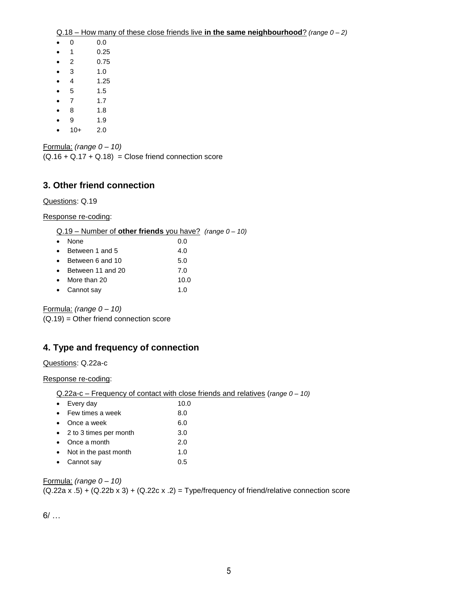- 0 0.0
- $\bullet$  1 0.25
- $\bullet$  2 0.75
- $\bullet$  3 1.0
- $\bullet$  4 1.25
- $5 1.5$
- $\bullet$  7 1.7
- 8 1.8
- $9$  1.9
- $\bullet$  10+ 2.0

Formula: *(range 0 – 10)*  $(Q.16 + Q.17 + Q.18) =$  Close friend connection score

## **3. Other friend connection**

Questions: Q.19

Response re-coding:

#### Q.19 – Number of **other friends** you have? *(range 0 – 10)*

| $\bullet$ | None                        | 0.0         |
|-----------|-----------------------------|-------------|
| $\bullet$ | Between 1 and 5             | 4.0         |
| $\bullet$ | Between 6 and 10            | 5.0         |
|           | $\bullet$ Between 11 and 20 | 7.0         |
| $\bullet$ | More than 20                | 10.0        |
|           | • Cannot say                | 1. $\Omega$ |

Formula: *(range 0 – 10)*

(Q.19) = Other friend connection score

## **4. Type and frequency of connection**

#### Questions: Q.22a-c

Response re-coding:

| $Q.22a-c$ – Frequency of contact with close friends and relatives (range $0 - 10$ ) |  |  |
|-------------------------------------------------------------------------------------|--|--|
|                                                                                     |  |  |

|           | $\bullet$ Every day        | 10.0 |
|-----------|----------------------------|------|
|           | $\bullet$ Few times a week | 8.0  |
|           | $\bullet$ Once a week      | 6.0  |
|           | • 2 to 3 times per month   | 3.0  |
|           | $\bullet$ Once a month     | 2.0  |
| $\bullet$ | Not in the past month      | 1.0  |
|           | • Cannot say               | 0.5  |

### Formula: *(range 0 – 10)*

 $(Q.22a x .5) + (Q.22b x 3) + (Q.22c x .2) = Type/frequency of friend/relative connection score$ 

 $6/$  ...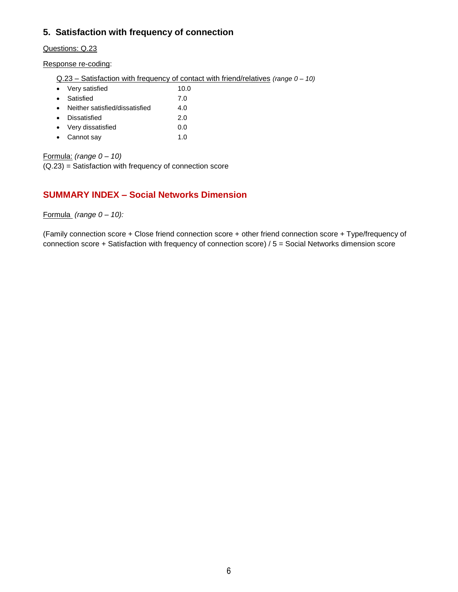## **5. Satisfaction with frequency of connection**

Questions: Q.23

Response re-coding:

Q.23 – Satisfaction with frequency of contact with friend/relatives *(range 0 – 10)*

|           | • Very satisfied               | 10.0 |
|-----------|--------------------------------|------|
| $\bullet$ | Satisfied                      | 7.0  |
| $\bullet$ | Neither satisfied/dissatisfied | 4.0  |
| $\bullet$ | Dissatisfied                   | 2.0  |
|           | • Very dissatisfied            | 0.0  |
|           | • Cannot say                   |      |

Formula: *(range 0 – 10)*

(Q.23) = Satisfaction with frequency of connection score

### **SUMMARY INDEX – Social Networks Dimension**

Formula *(range 0 – 10):*

(Family connection score + Close friend connection score + other friend connection score + Type/frequency of connection score + Satisfaction with frequency of connection score) / 5 = Social Networks dimension score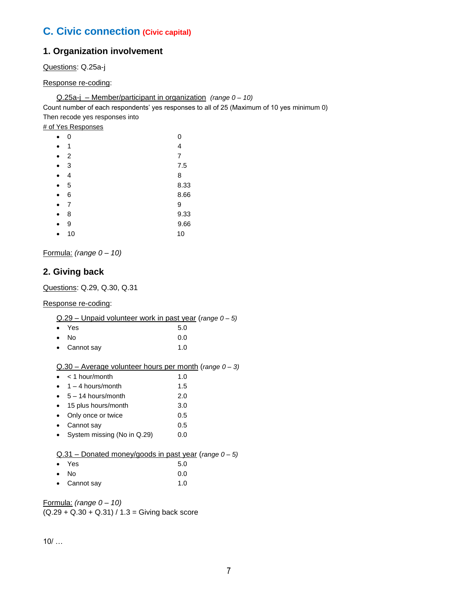## **C. Civic connection (Civic capital)**

## **1. Organization involvement**

Questions: Q.25a-j

Response re-coding:

Q.25a-j – Member/participant in organization *(range 0 – 10)* 

Count number of each respondents' yes responses to all of 25 (Maximum of 10 yes minimum 0) Then recode yes responses into

# of Yes Responses

|           | 0  | 0    |
|-----------|----|------|
|           | 1  | 4    |
| $\bullet$ | 2  | 7    |
| $\bullet$ | 3  | 7.5  |
| $\bullet$ | 4  | 8    |
| $\bullet$ | 5  | 8.33 |
| $\bullet$ | 6  | 8.66 |
| ۰         | 7  | 9    |
| $\bullet$ | 8  | 9.33 |
|           | 9  | 9.66 |
|           | 10 | 10   |

Formula: *(range 0 – 10)*

## **2. Giving back**

Questions: Q.29, Q.30, Q.31

Response re-coding:

| $Q.29$ – Unpaid volunteer work in past year (range $0 - 5$ ) |  |  |  |  |
|--------------------------------------------------------------|--|--|--|--|
|                                                              |  |  |  |  |

| $\bullet$ Yes | 5.0 |
|---------------|-----|
| $\bullet$ No  | 0.0 |

| $\bullet$ | Cannot say | 1.0 |  |
|-----------|------------|-----|--|
|           |            |     |  |

#### Q.30 – Average volunteer hours per month (*range 0 – 3)*

| $\bullet$ | $<$ 1 hour/month | 1.0 |
|-----------|------------------|-----|
|           |                  |     |

| 1.5 |
|-----|
|     |

- $\bullet$  5 14 hours/month 2.0
- 15 plus hours/month 3.0
- Only once or twice 0.5
- Cannot say 0.5
- System missing (No in Q.29) 0.0

#### Q.31 – Donated money/goods in past year (*range 0 – 5)*

| $\bullet$ Yes        | 5.0 |
|----------------------|-----|
| $\bullet$ No         | 0.0 |
| $\bullet$ Cannot say | 1.0 |

Formula: *(range 0 – 10)*  $(Q.29 + Q.30 + Q.31) / 1.3 =$  Giving back score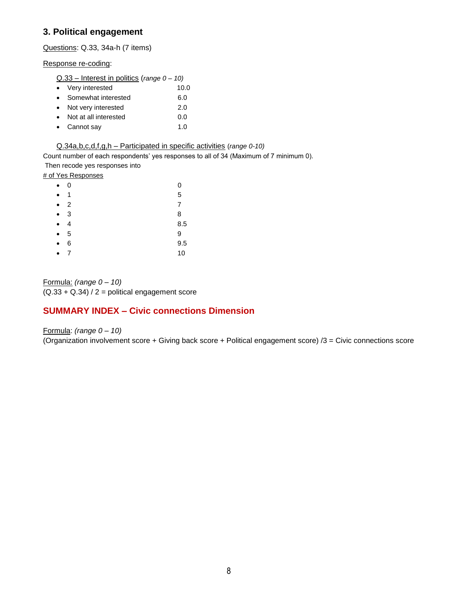## **3. Political engagement**

Questions: Q.33, 34a-h (7 items)

Response re-coding:

| $Q.33$ – Interest in politics (range $0 - 10$ ) |  |
|-------------------------------------------------|--|
|-------------------------------------------------|--|

|           | • Very interested     | 10.0 |
|-----------|-----------------------|------|
|           | • Somewhat interested | 6.0  |
|           | • Not very interested | 2.0  |
| $\bullet$ | Not at all interested | 0.0  |
|           | • Cannot say          | 1 በ  |

Q.34a,b,c,d,f,g,h – Participated in specific activities (*range 0-10)*

Count number of each respondents' yes responses to all of 34 (Maximum of 7 minimum 0).

Then recode yes responses into

# of Yes Responses

| $\bullet$ | 0 | 0   |
|-----------|---|-----|
| $\bullet$ | 1 | 5   |
| $\bullet$ | 2 | 7   |
| $\bullet$ | 3 | 8   |
| $\bullet$ | 4 | 8.5 |
|           | 5 | 9   |
| $\bullet$ | 6 | 9.5 |
|           | 7 | 10  |

Formula: *(range 0 – 10)*  $(Q.33 + Q.34)/2 =$  political engagement score

## **SUMMARY INDEX – Civic connections Dimension**

Formula: *(range 0 – 10)* (Organization involvement score + Giving back score + Political engagement score) /3 = Civic connections score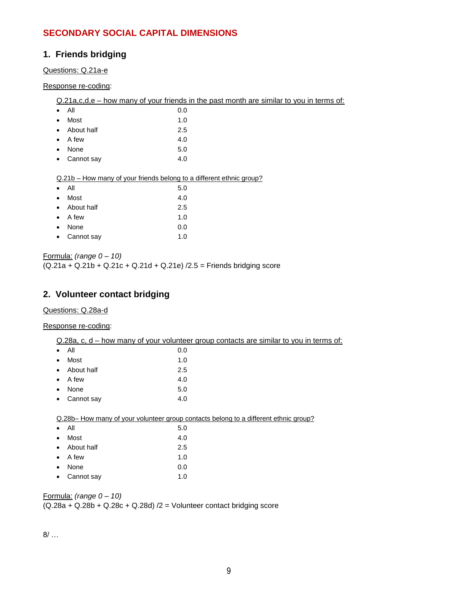## **SECONDARY SOCIAL CAPITAL DIMENSIONS**

## **1. Friends bridging**

### Questions: Q.21a-e

#### Response re-coding:

Q.21a,c,d,e – how many of your friends in the past month are similar to you in terms of:

| $\bullet$ | All          | 0.0 |
|-----------|--------------|-----|
| $\bullet$ | Most         | 1.0 |
| $\bullet$ | About half   | 2.5 |
| $\bullet$ | A few        | 4.0 |
| $\bullet$ | None         | 5.0 |
|           | • Cannot say | 4.0 |
|           |              |     |

#### Q.21b – How many of your friends belong to a different ethnic group?

| $\bullet$ | All             | 5.0 |
|-----------|-----------------|-----|
| $\bullet$ | Most            | 4.0 |
|           | • About half    | 2.5 |
|           | $\bullet$ A few | 1.0 |
| $\bullet$ | None            | 0.0 |
|           | • Cannot say    | 1.0 |

Formula: *(range 0 – 10)*

 $(Q.21a + Q.21b + Q.21c + Q.21d + Q.21e)/2.5$  = Friends bridging score

## **2. Volunteer contact bridging**

#### Questions: Q.28a-d

#### Response re-coding:

|                                                                                      |            | Q.28a, c, d – how many of your volunteer group contacts are similar to you in terms of: |  |
|--------------------------------------------------------------------------------------|------------|-----------------------------------------------------------------------------------------|--|
|                                                                                      | All        | 0.0                                                                                     |  |
|                                                                                      | Most       | 1.0                                                                                     |  |
|                                                                                      | About half | 2.5                                                                                     |  |
|                                                                                      | A few      | 4.0                                                                                     |  |
|                                                                                      | None       | 5.0                                                                                     |  |
|                                                                                      | Cannot say | 4.0                                                                                     |  |
|                                                                                      |            |                                                                                         |  |
| Q.28b– How many of your volunteer group contacts belong to a different ethnic group? |            |                                                                                         |  |
|                                                                                      |            |                                                                                         |  |

| $\bullet$ | Αll         | 5.0 |
|-----------|-------------|-----|
| $\bullet$ | Most        | 4.0 |
| $\bullet$ | About half  | 2.5 |
| $\bullet$ | A few       | 1.0 |
| $\bullet$ | <b>None</b> | 0.0 |
| $\bullet$ | Cannot say  | 1.0 |
|           |             |     |

#### Formula: *(range 0 – 10)*

 $(Q.28a + Q.28b + Q.28c + Q.28d)/2 =$  Volunteer contact bridging score